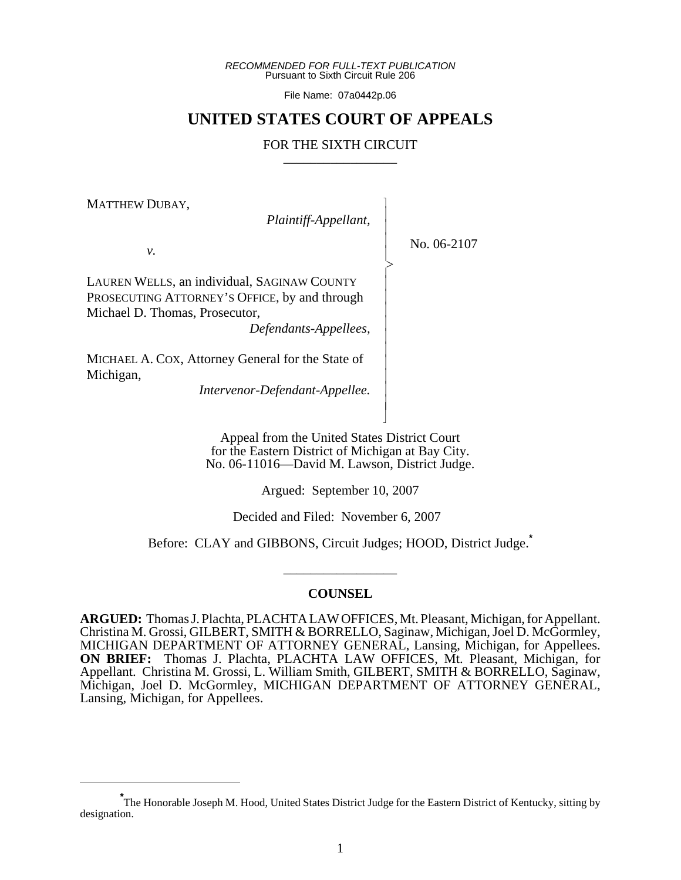*RECOMMENDED FOR FULL-TEXT PUBLICATION* Pursuant to Sixth Circuit Rule 206

File Name: 07a0442p.06

## **UNITED STATES COURT OF APPEALS**

## FOR THE SIXTH CIRCUIT

 $\overline{\phantom{a}}$ - - - -  $\succ$ |<br>|<br>| - - - - - - - - - - N

MATTHEW DUBAY,

*Plaintiff-Appellant,*

No. 06-2107

*v.*

LAUREN WELLS, an individual, SAGINAW COUNTY PROSECUTING ATTORNEY'S OFFICE, by and through Michael D. Thomas, Prosecutor,

*Defendants-Appellees,*

MICHAEL A. COX, Attorney General for the State of Michigan,

*Intervenor-Defendant-Appellee.*

Appeal from the United States District Court for the Eastern District of Michigan at Bay City. No. 06-11016—David M. Lawson, District Judge.

Argued: September 10, 2007

Decided and Filed: November 6, 2007

Before: CLAY and GIBBONS, Circuit Judges; HOOD, District Judge.**\***

\_\_\_\_\_\_\_\_\_\_\_\_\_\_\_\_\_

## **COUNSEL**

**ARGUED:** Thomas J. Plachta, PLACHTA LAW OFFICES, Mt. Pleasant, Michigan, for Appellant. Christina M. Grossi, GILBERT, SMITH & BORRELLO, Saginaw, Michigan, Joel D. McGormley, MICHIGAN DEPARTMENT OF ATTORNEY GENERAL, Lansing, Michigan, for Appellees. **ON BRIEF:** Thomas J. Plachta, PLACHTA LAW OFFICES, Mt. Pleasant, Michigan, for Appellant. Christina M. Grossi, L. William Smith, GILBERT, SMITH & BORRELLO, Saginaw, Michigan, Joel D. McGormley, MICHIGAN DEPARTMENT OF ATTORNEY GENERAL, Lansing, Michigan, for Appellees.

**<sup>\*</sup>** The Honorable Joseph M. Hood, United States District Judge for the Eastern District of Kentucky, sitting by designation.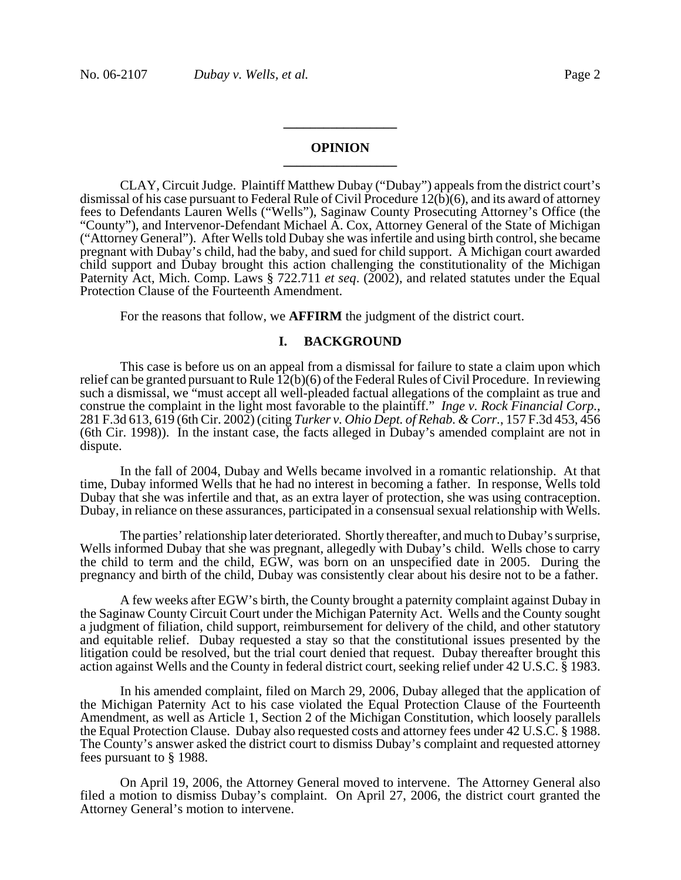## **OPINION \_\_\_\_\_\_\_\_\_\_\_\_\_\_\_\_\_**

**\_\_\_\_\_\_\_\_\_\_\_\_\_\_\_\_\_**

CLAY, Circuit Judge. Plaintiff Matthew Dubay ("Dubay") appeals from the district court's dismissal of his case pursuant to Federal Rule of Civil Procedure 12(b)(6), and its award of attorney fees to Defendants Lauren Wells ("Wells"), Saginaw County Prosecuting Attorney's Office (the "County"), and Intervenor-Defendant Michael A. Cox, Attorney General of the State of Michigan ("Attorney General"). After Wells told Dubay she was infertile and using birth control, she became pregnant with Dubay's child, had the baby, and sued for child support. A Michigan court awarded child support and Dubay brought this action challenging the constitutionality of the Michigan Paternity Act, Mich. Comp. Laws § 722.711 *et seq*. (2002), and related statutes under the Equal Protection Clause of the Fourteenth Amendment.

For the reasons that follow, we **AFFIRM** the judgment of the district court.

## **I. BACKGROUND**

This case is before us on an appeal from a dismissal for failure to state a claim upon which relief can be granted pursuant to Rule 12(b)(6) of the Federal Rules of Civil Procedure. In reviewing such a dismissal, we "must accept all well-pleaded factual allegations of the complaint as true and construe the complaint in the light most favorable to the plaintiff." *Inge v. Rock Financial Corp.*, 281 F.3d 613, 619 (6th Cir. 2002) (citing *Turker v. Ohio Dept. of Rehab. & Corr.*, 157 F.3d 453, 456 (6th Cir. 1998)). In the instant case, the facts alleged in Dubay's amended complaint are not in dispute.

In the fall of 2004, Dubay and Wells became involved in a romantic relationship. At that time, Dubay informed Wells that he had no interest in becoming a father. In response, Wells told Dubay that she was infertile and that, as an extra layer of protection, she was using contraception. Dubay, in reliance on these assurances, participated in a consensual sexual relationship with Wells.

The parties' relationship later deteriorated. Shortly thereafter, and much to Dubay's surprise, Wells informed Dubay that she was pregnant, allegedly with Dubay's child. Wells chose to carry the child to term and the child, EGW, was born on an unspecified date in 2005. During the pregnancy and birth of the child, Dubay was consistently clear about his desire not to be a father.

A few weeks after EGW's birth, the County brought a paternity complaint against Dubay in the Saginaw County Circuit Court under the Michigan Paternity Act.Wells and the County sought a judgment of filiation, child support, reimbursement for delivery of the child, and other statutory and equitable relief. Dubay requested a stay so that the constitutional issues presented by the litigation could be resolved, but the trial court denied that request. Dubay thereafter brought this action against Wells and the County in federal district court, seeking relief under 42 U.S.C. § 1983.

In his amended complaint, filed on March 29, 2006, Dubay alleged that the application of the Michigan Paternity Act to his case violated the Equal Protection Clause of the Fourteenth Amendment, as well as Article 1, Section 2 of the Michigan Constitution, which loosely parallels the Equal Protection Clause. Dubay also requested costs and attorney fees under 42 U.S.C. § 1988. The County's answer asked the district court to dismiss Dubay's complaint and requested attorney fees pursuant to § 1988.

On April 19, 2006, the Attorney General moved to intervene. The Attorney General also filed a motion to dismiss Dubay's complaint. On April 27, 2006, the district court granted the Attorney General's motion to intervene.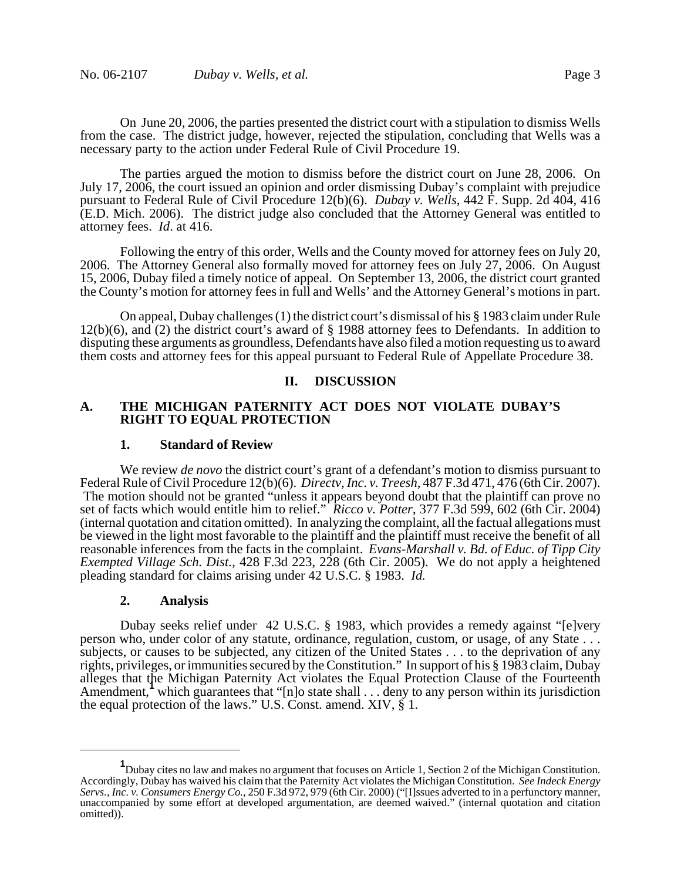On June 20, 2006, the parties presented the district court with a stipulation to dismiss Wells from the case. The district judge, however, rejected the stipulation, concluding that Wells was a necessary party to the action under Federal Rule of Civil Procedure 19.

The parties argued the motion to dismiss before the district court on June 28, 2006. On July 17, 2006, the court issued an opinion and order dismissing Dubay's complaint with prejudice pursuant to Federal Rule of Civil Procedure 12(b)(6). *Dubay v. Wells*, 442 F. Supp. 2d 404, 416 (E.D. Mich. 2006). The district judge also concluded that the Attorney General was entitled to attorney fees. *Id*. at 416.

Following the entry of this order, Wells and the County moved for attorney fees on July 20, 2006. The Attorney General also formally moved for attorney fees on July 27, 2006. On August 15, 2006, Dubay filed a timely notice of appeal. On September 13, 2006, the district court granted the County's motion for attorney fees in full and Wells' and the Attorney General's motions in part.

On appeal, Dubay challenges (1) the district court's dismissal of his § 1983 claim under Rule 12(b)(6), and (2) the district court's award of § 1988 attorney fees to Defendants. In addition to disputing these arguments as groundless, Defendants have also filed a motion requesting us to award them costs and attorney fees for this appeal pursuant to Federal Rule of Appellate Procedure 38.

## **II. DISCUSSION**

## **A. THE MICHIGAN PATERNITY ACT DOES NOT VIOLATE DUBAY'S RIGHT TO EQUAL PROTECTION**

#### **1. Standard of Review**

We review *de novo* the district court's grant of a defendant's motion to dismiss pursuant to Federal Rule of Civil Procedure 12(b)(6). *Directv, Inc. v. Treesh*, 487 F.3d 471, 476 (6th Cir. 2007). The motion should not be granted "unless it appears beyond doubt that the plaintiff can prove no set of facts which would entitle him to relief." *Ricco v. Potter*, 377 F.3d 599, 602 (6th Cir. 2004) (internal quotation and citation omitted). In analyzing the complaint, all the factual allegations must be viewed in the light most favorable to the plaintiff and the plaintiff must receive the benefit of all reasonable inferences from the facts in the complaint. *Evans-Marshall v. Bd. of Educ. of Tipp City Exempted Village Sch. Dist.*, 428 F.3d 223, 228 (6th Cir. 2005). We do not apply a heightened pleading standard for claims arising under 42 U.S.C. § 1983. *Id.* 

#### **2. Analysis**

Dubay seeks relief under 42 U.S.C. § 1983, which provides a remedy against "[e]very person who, under color of any statute, ordinance, regulation, custom, or usage, of any State . . . subjects, or causes to be subjected, any citizen of the United States . . . to the deprivation of any rights, privileges, or immunities secured by the Constitution." In support of his § 1983 claim, Dubay alleges that the Michigan Paternity Act violates the Equal Protection Clause of the Fourteenth Amendment, which guarantees that "[n]o state shall . . . deny to any person within its jurisdiction the equal protection of the laws." U.S. Const. amend. XIV, § 1.

**<sup>1</sup>** Dubay cites no law and makes no argument that focuses on Article 1, Section 2 of the Michigan Constitution. Accordingly, Dubay has waived his claim that the Paternity Act violates the Michigan Constitution. *See Indeck Energy Servs., Inc. v. Consumers Energy Co.*, 250 F.3d 972, 979 (6th Cir. 2000) ("[I]ssues adverted to in a perfunctory manner, unaccompanied by some effort at developed argumentation, are deemed waived." (internal quotation and citation omitted)).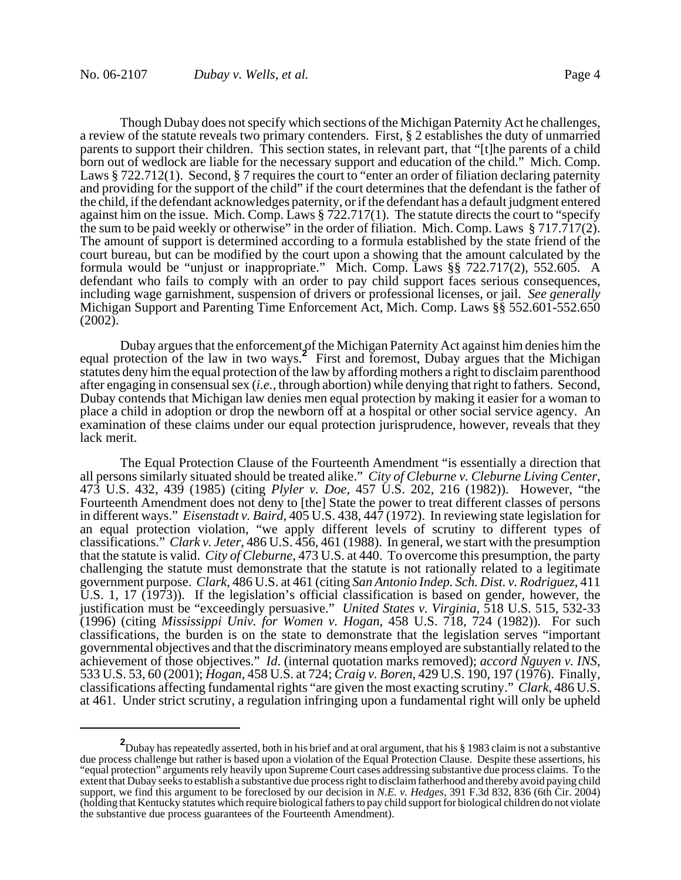Though Dubay does not specify which sections of the Michigan Paternity Act he challenges, a review of the statute reveals two primary contenders. First, § 2 establishes the duty of unmarried parents to support their children. This section states, in relevant part, that "[t]he parents of a child born out of wedlock are liable for the necessary support and education of the child." Mich. Comp. Laws § 722.712(1). Second, § 7 requires the court to "enter an order of filiation declaring paternity and providing for the support of the child" if the court determines that the defendant is the father of the child, if the defendant acknowledges paternity, or if the defendant has a default judgment entered against him on the issue. Mich. Comp. Laws § 722.717(1). The statute directs the court to "specify the sum to be paid weekly or otherwise" in the order of filiation. Mich. Comp. Laws § 717.717(2). The amount of support is determined according to a formula established by the state friend of the court bureau, but can be modified by the court upon a showing that the amount calculated by the formula would be "unjust or inappropriate." Mich. Comp. Laws §§ 722.717(2), 552.605. A defendant who fails to comply with an order to pay child support faces serious consequences, including wage garnishment, suspension of drivers or professional licenses, or jail. *See generally* Michigan Support and Parenting Time Enforcement Act, Mich. Comp. Laws §§ 552.601-552.650 (2002).

Dubay argues that the enforcement of the Michigan Paternity Act against him denies him the equal protection of the law in two ways.**<sup>2</sup>** First and foremost, Dubay argues that the Michigan statutes deny him the equal protection of the law by affording mothers a right to disclaim parenthood after engaging in consensual sex (*i.e.,* through abortion) while denying that right to fathers. Second, Dubay contends that Michigan law denies men equal protection by making it easier for a woman to place a child in adoption or drop the newborn off at a hospital or other social service agency. An examination of these claims under our equal protection jurisprudence, however, reveals that they lack merit.

The Equal Protection Clause of the Fourteenth Amendment "is essentially a direction that all persons similarly situated should be treated alike." *City of Cleburne v. Cleburne Living Center*, 473 U.S. 432, 439 (1985) (citing *Plyler v. Doe*, 457 U.S. 202, 216 (1982)). However, "the Fourteenth Amendment does not deny to [the] State the power to treat different classes of persons in different ways." *Eisenstadt v. Baird*, 405 U.S. 438, 447 (1972). In reviewing state legislation for an equal protection violation, "we apply different levels of scrutiny to different types of classifications." *Clark v. Jeter*, 486 U.S. 456, 461 (1988). In general, we start with the presumption that the statute is valid. *City of Cleburne*, 473 U.S. at 440. To overcome this presumption, the party challenging the statute must demonstrate that the statute is not rationally related to a legitimate government purpose. *Clark,* 486 U.S. at 461 (citing *San Antonio Indep. Sch. Dist. v. Rodriguez*, 411 U.S. 1, 17 (1973)). If the legislation's official classification is based on gender, however, the justification must be "exceedingly persuasive." *United States v. Virginia*, 518 U.S. 515, 532-33 (1996) (citing *Mississippi Univ. for Women v. Hogan*, 458 U.S. 718, 724 (1982)). For such classifications, the burden is on the state to demonstrate that the legislation serves "important governmental objectives and that the discriminatory means employed are substantially related to the achievement of those objectives." *Id.* (internal quotation marks removed); accord Nguyen v. INS, 533 U.S. 53, 60 (2001); *Hogan*, 458 U.S. at 724; *Craig v. Boren*, 429 U.S. 190, 197 (1976). Finally, classifications affecting fundamental rights "are given the most exacting scrutiny." *Clark*, 486 U.S. at 461. Under strict scrutiny, a regulation infringing upon a fundamental right will only be upheld

**<sup>2</sup>** Dubay has repeatedly asserted, both in his brief and at oral argument, that his § 1983 claim is not a substantive due process challenge but rather is based upon a violation of the Equal Protection Clause. Despite these assertions, his "equal protection" arguments rely heavily upon Supreme Court cases addressing substantive due process claims. To the extent that Dubay seeks to establish a substantive due process right to disclaim fatherhood and thereby avoid paying child support, we find this argument to be foreclosed by our decision in *N.E. v. Hedges,* 391 F.3d 832, 836 (6th Cir. 2004) (holding that Kentucky statutes which require biological fathers to pay child support for biological children do not violate the substantive due process guarantees of the Fourteenth Amendment).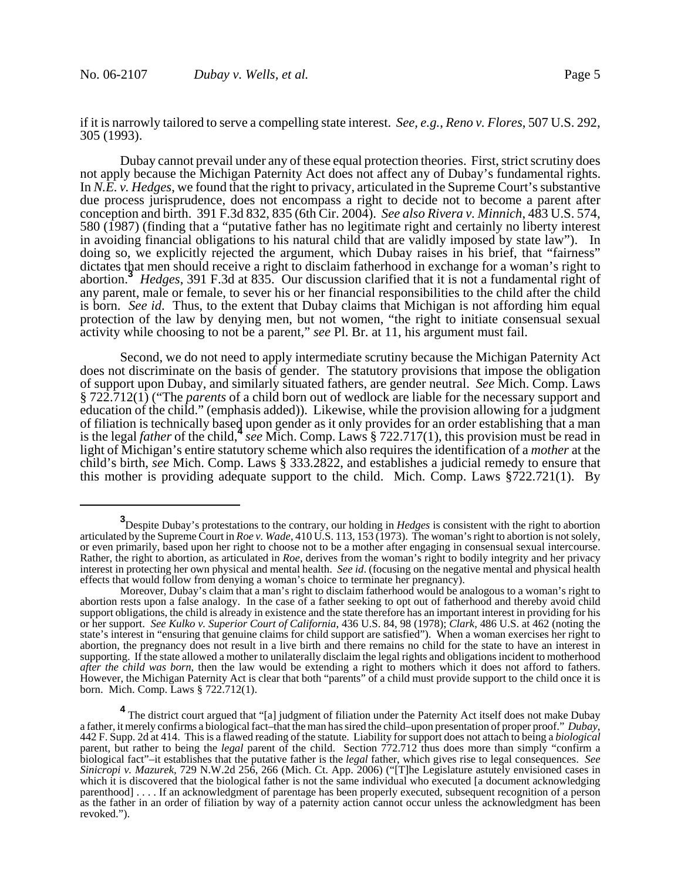if it is narrowly tailored to serve a compelling state interest. *See, e.g.*, *Reno v. Flores*, 507 U.S. 292, 305 (1993).

Dubay cannot prevail under any of these equal protection theories. First, strict scrutiny does not apply because the Michigan Paternity Act does not affect any of Dubay's fundamental rights. In *N.E. v. Hedges*, we found that the right to privacy, articulated in the Supreme Court's substantive due process jurisprudence, does not encompass a right to decide not to become a parent after conception and birth. 391 F.3d 832, 835 (6th Cir. 2004). *See also Rivera v. Minnich*, 483 U.S. 574, 580 (1987) (finding that a "putative father has no legitimate right and certainly no liberty interest in avoiding financial obligations to his natural child that are validly imposed by state law"). In doing so, we explicitly rejected the argument, which Dubay raises in his brief, that "fairness" dictates that men should receive a right to disclaim fatherhood in exchange for a woman's right to abortion.**<sup>3</sup>** *Hedges*, 391 F.3d at 835. Our discussion clarified that it is not a fundamental right of any parent, male or female, to sever his or her financial responsibilities to the child after the child is born. *See id*. Thus, to the extent that Dubay claims that Michigan is not affording him equal protection of the law by denying men, but not women, "the right to initiate consensual sexual activity while choosing to not be a parent," *see* Pl. Br. at 11, his argument must fail.

Second, we do not need to apply intermediate scrutiny because the Michigan Paternity Act does not discriminate on the basis of gender. The statutory provisions that impose the obligation of support upon Dubay, and similarly situated fathers, are gender neutral. *See* Mich. Comp. Laws § 722.712(1) ("The *parents* of a child born out of wedlock are liable for the necessary support and education of the child." (emphasis added)). Likewise, while the provision allowing for a judgment of filiation is technically based upon gender as it only provides for an order establishing that a man is the legal *father* of the child,**<sup>4</sup>** *see* Mich. Comp. Laws § 722.717(1), this provision must be read in light of Michigan's entire statutory scheme which also requires the identification of a *mother* at the child's birth, *see* Mich. Comp. Laws § 333.2822, and establishes a judicial remedy to ensure that this mother is providing adequate support to the child. Mich. Comp. Laws §722.721(1). By

**<sup>3</sup>** Despite Dubay's protestations to the contrary, our holding in *Hedges* is consistent with the right to abortion articulated by the Supreme Court in *Roe v. Wade*, 410 U.S. 113, 153 (1973). The woman's right to abortion is not solely, or even primarily, based upon her right to choose not to be a mother after engaging in consensual sexual intercourse. Rather, the right to abortion, as articulated in *Roe*, derives from the woman's right to bodily integrity and her privacy interest in protecting her own physical and mental health. *See id*. (focusing on the negative mental and physical health effects that would follow from denying a woman's choice to terminate her pregnancy).

Moreover, Dubay's claim that a man's right to disclaim fatherhood would be analogous to a woman's right to abortion rests upon a false analogy. In the case of a father seeking to opt out of fatherhood and thereby avoid child support obligations, the child is already in existence and the state therefore has an important interest in providing for his or her support. *See Kulko v. Superior Court of California*, 436 U.S. 84, 98 (1978); *Clark*, 486 U.S. at 462 (noting the state's interest in "ensuring that genuine claims for child support are satisfied"). When a woman exercises her right to abortion, the pregnancy does not result in a live birth and there remains no child for the state to have an interest in supporting. If the state allowed a mother to unilaterally disclaim the legal rights and obligations incident to motherhood *after the child was born*, then the law would be extending a right to mothers which it does not afford to fathers. However, the Michigan Paternity Act is clear that both "parents" of a child must provide support to the child once it is born. Mich. Comp. Laws § 722.712(1).

<sup>&</sup>lt;sup>4</sup> The district court argued that "[a] judgment of filiation under the Paternity Act itself does not make Dubay a father, it merely confirms a biological fact-that the man has sired the child-upon presentation of proper proof." Dubay, 442 F. Supp. 2d at 414. This is a flawed reading of the statute. Liability for support does not att parent, but rather to being the *legal* parent of the child. Section 772.712 thus does more than simply "confirm a biological fact"–it establishes that the putative father is the *legal* father, which gives rise to legal consequences. *See Sinicropi v. Mazurek*, 729 N.W.2d 256, 266 (Mich. Ct. App. 2006) ("[T]he Legislature astutely envisioned cases in which it is discovered that the biological father is not the same individual who executed [a document acknowledging parenthood] . . . . If an acknowledgment of parentage has been properly executed, subsequent recognition of a person as the father in an order of filiation by way of a paternity action cannot occur unless the acknowledgment has been revoked.").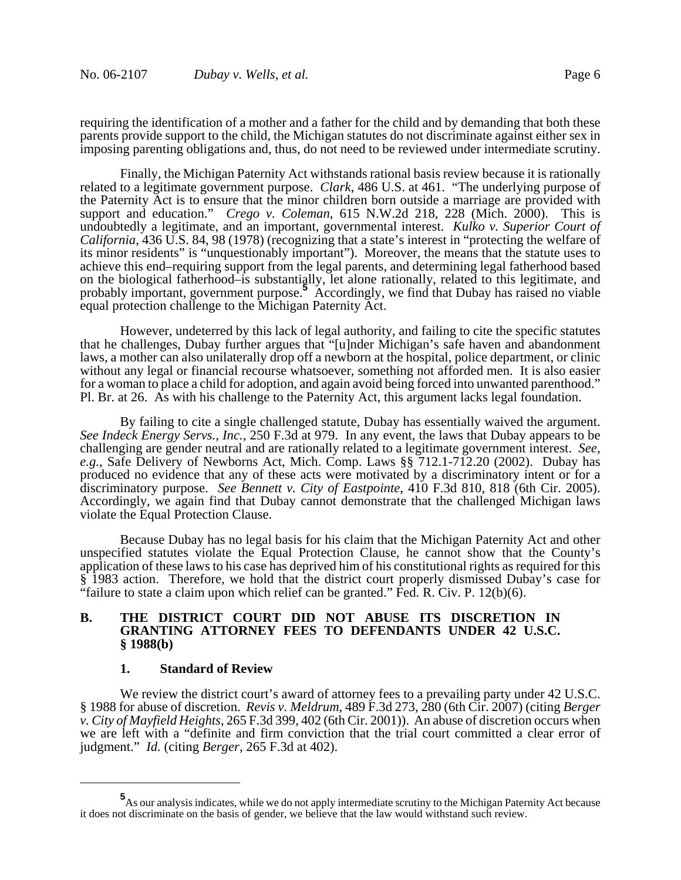requiring the identification of a mother and a father for the child and by demanding that both these parents provide support to the child, the Michigan statutes do not discriminate against either sex in imposing parenting obligations and, thus, do not need to be reviewed under intermediate scrutiny.

Finally, the Michigan Paternity Act withstands rational basis review because it is rationally related to a legitimate government purpose. *Clark*, 486 U.S. at 461. "The underlying purpose of the Paternity Act is to ensure that the minor children born outside a marriage are provided with support and education." *Crego v. Coleman*, 615 N.W.2d 218, 228 (Mich. 2000). This is undoubtedly a legitimate, and an important, governmental interest. *Kulko v. Superior Court of California*, 436 U.S. 84, 98 (1978) (recognizing that a state's interest in "protecting the welfare of its minor residents" is "unquestionably important").Moreover, the means that the statute uses to achieve this end–requiring support from the legal parents, and determining legal fatherhood based on the biological fatherhood–is substantially, let alone rationally, related to this legitimate, and probably important, government purpose.**<sup>5</sup>** Accordingly, we find that Dubay has raised no viable equal protection challenge to the Michigan Paternity Act.

However, undeterred by this lack of legal authority, and failing to cite the specific statutes that he challenges, Dubay further argues that "[u]nder Michigan's safe haven and abandonment laws, a mother can also unilaterally drop off a newborn at the hospital, police department, or clinic without any legal or financial recourse whatsoever, something not afforded men. It is also easier for a woman to place a child for adoption, and again avoid being forced into unwanted parenthood." Pl. Br. at 26. As with his challenge to the Paternity Act, this argument lacks legal foundation.

By failing to cite a single challenged statute, Dubay has essentially waived the argument. *See Indeck Energy Servs., Inc.*, 250 F.3d at 979. In any event, the laws that Dubay appears to be challenging are gender neutral and are rationally related to a legitimate government interest. *See, e.g.*, Safe Delivery of Newborns Act, Mich. Comp. Laws §§ 712.1-712.20 (2002). Dubay has produced no evidence that any of these acts were motivated by a discriminatory intent or for a discriminatory purpose. *See Bennett v. City of Eastpointe*, 410 F.3d 810, 818 (6th Cir. 2005). Accordingly, we again find that Dubay cannot demonstrate that the challenged Michigan laws violate the Equal Protection Clause.

Because Dubay has no legal basis for his claim that the Michigan Paternity Act and other unspecified statutes violate the Equal Protection Clause, he cannot show that the County's application of these laws to his case has deprived him of his constitutional rights as required for this § 1983 action. Therefore, we hold that the district court properly dismissed Dubay's case for "failure to state a claim upon which relief can be granted." Fed. R. Civ. P.  $12(b)(6)$ .

## **B. THE DISTRICT COURT DID NOT ABUSE ITS DISCRETION IN GRANTING ATTORNEY FEES TO DEFENDANTS UNDER 42 U.S.C. § 1988(b)**

#### **1. Standard of Review**

We review the district court's award of attorney fees to a prevailing party under 42 U.S.C. § 1988 for abuse of discretion. *Revis v. Meldrum*, 489 F.3d 273, 280 (6th Cir. 2007) (citing *Berger v. City of Mayfield Heights*, 265 F.3d 399, 402 (6th Cir. 2001)). An abuse of discretion occurs when we are left with a "definite and firm conviction that the trial court committed a clear error of judgment." *Id.* (citing *Berger*, 265 F.3d at 402).

**<sup>5</sup>** As our analysis indicates, while we do not apply intermediate scrutiny to the Michigan Paternity Act because it does not discriminate on the basis of gender, we believe that the law would withstand such review.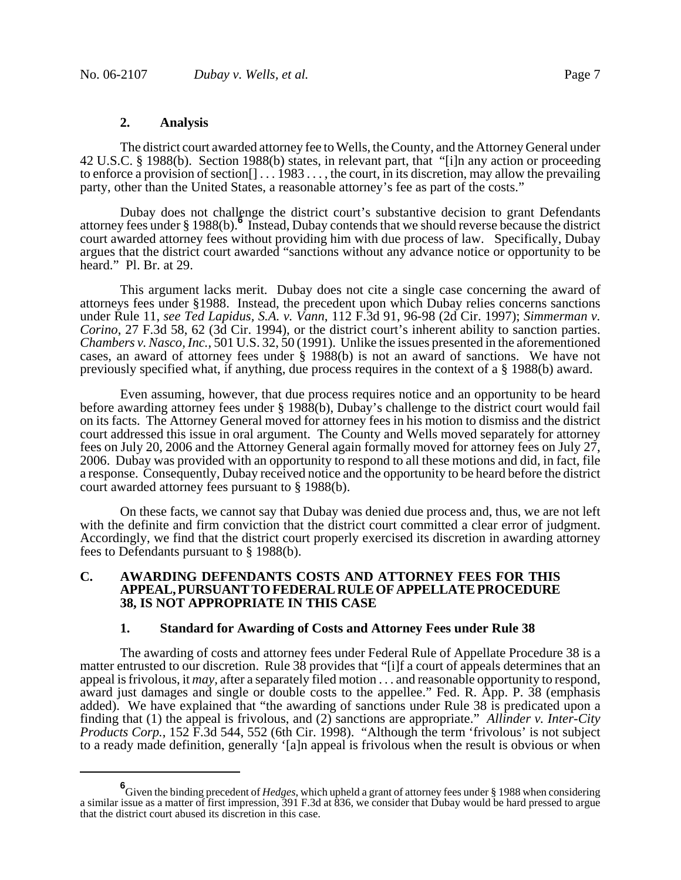#### **2. Analysis**

The district court awarded attorney fee to Wells, the County, and the Attorney General under 42 U.S.C. § 1988(b). Section 1988(b) states, in relevant part, that "[i]n any action or proceeding to enforce a provision of section[] . . . 1983 . . . , the court, in its discretion, may allow the prevailing party, other than the United States, a reasonable attorney's fee as part of the costs."

Dubay does not challenge the district court's substantive decision to grant Defendants attorney fees under § 1988(b).**<sup>6</sup>** Instead, Dubay contends that we should reverse because the district court awarded attorney fees without providing him with due process of law. Specifically, Dubay argues that the district court awarded "sanctions without any advance notice or opportunity to be heard." Pl. Br. at 29.

This argument lacks merit. Dubay does not cite a single case concerning the award of attorneys fees under §1988. Instead, the precedent upon which Dubay relies concerns sanctions under Rule 11, *see Ted Lapidus, S.A. v. Vann*, 112 F.3d 91, 96-98 (2d Cir. 1997); *Simmerman v. Corino*, 27 F.3d 58, 62 (3d Cir. 1994), or the district court's inherent ability to sanction parties. *Chambers v. Nasco, Inc.*, 501 U.S. 32, 50 (1991). Unlike the issues presented in the aforementioned cases, an award of attorney fees under § 1988(b) is not an award of sanctions. We have not previously specified what, if anything, due process requires in the context of a § 1988(b) award.

Even assuming, however, that due process requires notice and an opportunity to be heard before awarding attorney fees under § 1988(b), Dubay's challenge to the district court would fail on its facts. The Attorney General moved for attorney fees in his motion to dismiss and the district court addressed this issue in oral argument. The County and Wells moved separately for attorney fees on July 20, 2006 and the Attorney General again formally moved for attorney fees on July 27, 2006. Dubay was provided with an opportunity to respond to all these motions and did, in fact, file a response. Consequently, Dubay received notice and the opportunity to be heard before the district court awarded attorney fees pursuant to § 1988(b).

On these facts, we cannot say that Dubay was denied due process and, thus, we are not left with the definite and firm conviction that the district court committed a clear error of judgment. Accordingly, we find that the district court properly exercised its discretion in awarding attorney fees to Defendants pursuant to § 1988(b).

## **C. AWARDING DEFENDANTS COSTS AND ATTORNEY FEES FOR THIS APPEAL, PURSUANT TO FEDERAL RULE OF APPELLATE PROCEDURE 38, IS NOT APPROPRIATE IN THIS CASE**

#### **1. Standard for Awarding of Costs and Attorney Fees under Rule 38**

The awarding of costs and attorney fees under Federal Rule of Appellate Procedure 38 is a matter entrusted to our discretion. Rule 38 provides that "[i]f a court of appeals determines that an appeal is frivolous, it *may,* after a separately filed motion . . . and reasonable opportunity to respond, award just damages and single or double costs to the appellee." Fed. R. App. P. 38 (emphasis added). We have explained that "the awarding of sanctions under Rule 38 is predicated upon a finding that (1) the appeal is frivolous, and (2) sanctions are appropriate." *Allinder v. Inter-City Products Corp.*, 152 F.3d 544, 552 (6th Cir. 1998). "Although the term 'frivolous' is not subject to a ready made definition, generally '[a]n appeal is frivolous when the result is obvious or when

**<sup>6</sup>** Given the binding precedent of *Hedges*, which upheld a grant of attorney fees under § 1988 when considering a similar issue as a matter of first impression, 391 F.3d at 836, we consider that Dubay would be hard pressed to argue that the district court abused its discretion in this case.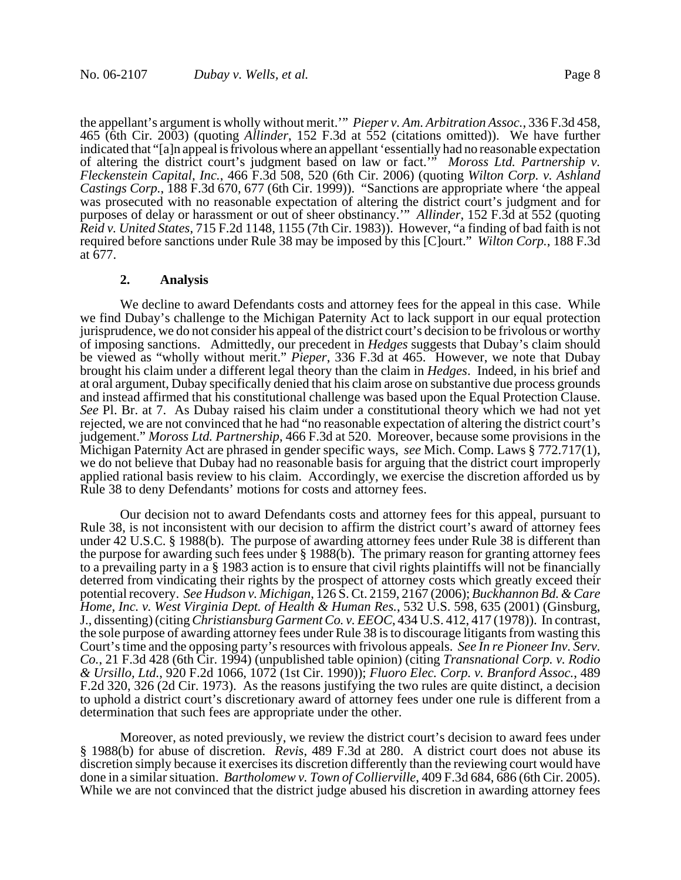the appellant's argument is wholly without merit.'" *Pieper v. Am. Arbitration Assoc.*, 336 F.3d 458, 465 (6th Cir. 2003) (quoting *Allinder*, 152 F.3d at 552 (citations omitted)). We have further indicated that "[a]n appeal is frivolous where an appellant 'essentially had no reasonable expectation of altering the district court's judgment based on law or fact.'" *Moross Ltd. Partnership v. Fleckenstein Capital, Inc.*, 466 F.3d 508, 520 (6th Cir. 2006) (quoting *Wilton Corp. v. Ashland Castings Corp.*, 188 F.3d 670, 677 (6th Cir. 1999)). "Sanctions are appropriate where 'the appeal was prosecuted with no reasonable expectation of altering the district court's judgment and for purposes of delay or harassment or out of sheer obstinancy.'" *Allinder*, 152 F.3d at 552 (quoting *Reid v. United States*, 715 F.2d 1148, 1155 (7th Cir. 1983)). However, "a finding of bad faith is not required before sanctions under Rule 38 may be imposed by this [C]ourt." *Wilton Corp.*, 188 F.3d at 677.

#### **2. Analysis**

We decline to award Defendants costs and attorney fees for the appeal in this case. While we find Dubay's challenge to the Michigan Paternity Act to lack support in our equal protection jurisprudence, we do not consider his appeal of the district court's decision to be frivolous or worthy of imposing sanctions. Admittedly, our precedent in *Hedges* suggests that Dubay's claim should be viewed as "wholly without merit." *Pieper*, 336 F.3d at 465. However, we note that Dubay brought his claim under a different legal theory than the claim in *Hedges*. Indeed, in his brief and at oral argument, Dubay specifically denied that his claim arose on substantive due process grounds and instead affirmed that his constitutional challenge was based upon the Equal Protection Clause. *See* Pl. Br. at 7. As Dubay raised his claim under a constitutional theory which we had not yet rejected, we are not convinced that he had "no reasonable expectation of altering the district court's judgement." *Moross Ltd. Partnership*, 466 F.3d at 520. Moreover, because some provisions in the Michigan Paternity Act are phrased in gender specific ways, *see* Mich. Comp. Laws § 772.717(1), we do not believe that Dubay had no reasonable basis for arguing that the district court improperly applied rational basis review to his claim. Accordingly, we exercise the discretion afforded us by Rule 38 to deny Defendants' motions for costs and attorney fees.

Our decision not to award Defendants costs and attorney fees for this appeal, pursuant to Rule 38, is not inconsistent with our decision to affirm the district court's award of attorney fees under 42 U.S.C. § 1988(b). The purpose of awarding attorney fees under Rule 38 is different than the purpose for awarding such fees under § 1988(b). The primary reason for granting attorney fees to a prevailing party in a § 1983 action is to ensure that civil rights plaintiffs will not be financially deterred from vindicating their rights by the prospect of attorney costs which greatly exceed their potential recovery. *See Hudson v. Michigan*, 126 S. Ct. 2159, 2167 (2006); *Buckhannon Bd. & Care Home, Inc. v. West Virginia Dept. of Health & Human Res.*, 532 U.S. 598, 635 (2001) (Ginsburg, J., dissenting) (citing *Christiansburg Garment Co. v. EEOC*, 434 U.S. 412, 417 (1978)). In contrast, the sole purpose of awarding attorney fees under Rule 38 is to discourage litigants from wasting this Court's time and the opposing party's resources with frivolous appeals. *See In re Pioneer Inv. Serv. Co.*, 21 F.3d 428 (6th Cir. 1994) (unpublished table opinion) (citing *Transnational Corp. v. Rodio & Ursillo, Ltd.*, 920 F.2d 1066, 1072 (1st Cir. 1990)); *Fluoro Elec. Corp. v. Branford Assoc.*, 489 F.2d 320, 326 (2d Cir. 1973). As the reasons justifying the two rules are quite distinct, a decision to uphold a district court's discretionary award of attorney fees under one rule is different from a determination that such fees are appropriate under the other.

Moreover, as noted previously, we review the district court's decision to award fees under § 1988(b) for abuse of discretion. *Revis*, 489 F.3d at 280. A district court does not abuse its discretion simply because it exercises its discretion differently than the reviewing court would have done in a similar situation. *Bartholomew v. Town of Collierville*, 409 F.3d 684, 686 (6th Cir. 2005). While we are not convinced that the district judge abused his discretion in awarding attorney fees